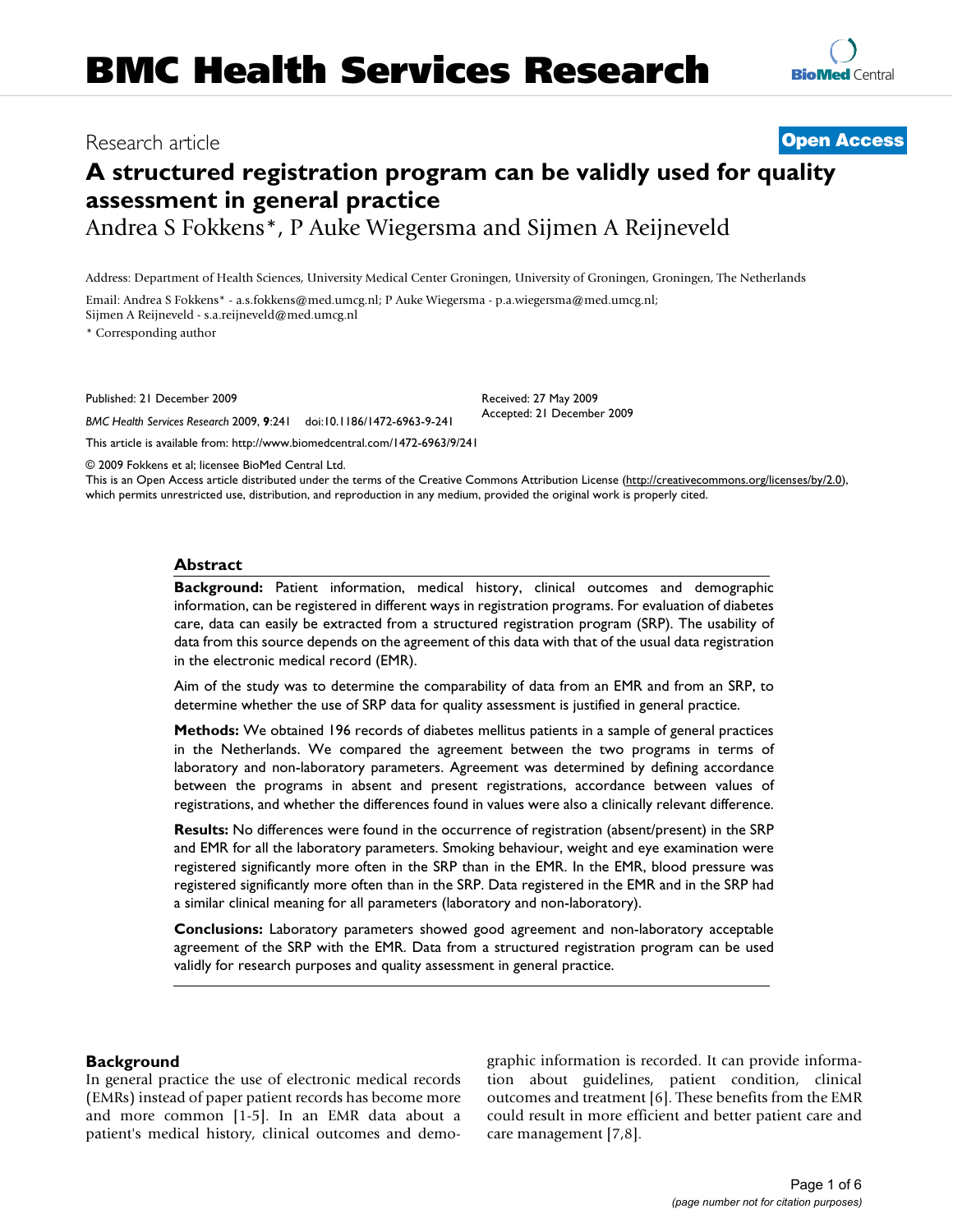## Research article **[Open Access](http://www.biomedcentral.com/info/about/charter/)**

# **A structured registration program can be validly used for quality assessment in general practice**

Andrea S Fokkens\*, P Auke Wiegersma and Sijmen A Reijneveld

Address: Department of Health Sciences, University Medical Center Groningen, University of Groningen, Groningen, The Netherlands

Email: Andrea S Fokkens\* - a.s.fokkens@med.umcg.nl; P Auke Wiegersma - p.a.wiegersma@med.umcg.nl; Sijmen A Reijneveld - s.a.reijneveld@med.umcg.nl

\* Corresponding author

Published: 21 December 2009

*BMC Health Services Research* 2009, **9**:241 doi:10.1186/1472-6963-9-241

[This article is available from: http://www.biomedcentral.com/1472-6963/9/241](http://www.biomedcentral.com/1472-6963/9/241)

© 2009 Fokkens et al; licensee BioMed Central Ltd.

This is an Open Access article distributed under the terms of the Creative Commons Attribution License [\(http://creativecommons.org/licenses/by/2.0\)](http://creativecommons.org/licenses/by/2.0), which permits unrestricted use, distribution, and reproduction in any medium, provided the original work is properly cited.

#### **Abstract**

**Background:** Patient information, medical history, clinical outcomes and demographic information, can be registered in different ways in registration programs. For evaluation of diabetes care, data can easily be extracted from a structured registration program (SRP). The usability of data from this source depends on the agreement of this data with that of the usual data registration in the electronic medical record (EMR).

Aim of the study was to determine the comparability of data from an EMR and from an SRP, to determine whether the use of SRP data for quality assessment is justified in general practice.

**Methods:** We obtained 196 records of diabetes mellitus patients in a sample of general practices in the Netherlands. We compared the agreement between the two programs in terms of laboratory and non-laboratory parameters. Agreement was determined by defining accordance between the programs in absent and present registrations, accordance between values of registrations, and whether the differences found in values were also a clinically relevant difference.

**Results:** No differences were found in the occurrence of registration (absent/present) in the SRP and EMR for all the laboratory parameters. Smoking behaviour, weight and eye examination were registered significantly more often in the SRP than in the EMR. In the EMR, blood pressure was registered significantly more often than in the SRP. Data registered in the EMR and in the SRP had a similar clinical meaning for all parameters (laboratory and non-laboratory).

**Conclusions:** Laboratory parameters showed good agreement and non-laboratory acceptable agreement of the SRP with the EMR. Data from a structured registration program can be used validly for research purposes and quality assessment in general practice.

#### **Background**

In general practice the use of electronic medical records (EMRs) instead of paper patient records has become more and more common [1-5]. In an EMR data about a patient's medical history, clinical outcomes and demographic information is recorded. It can provide information about guidelines, patient condition, clinical outcomes and treatment [6]. These benefits from the EMR could result in more efficient and better patient care and care management [7,8].



Received: 27 May 2009 Accepted: 21 December 2009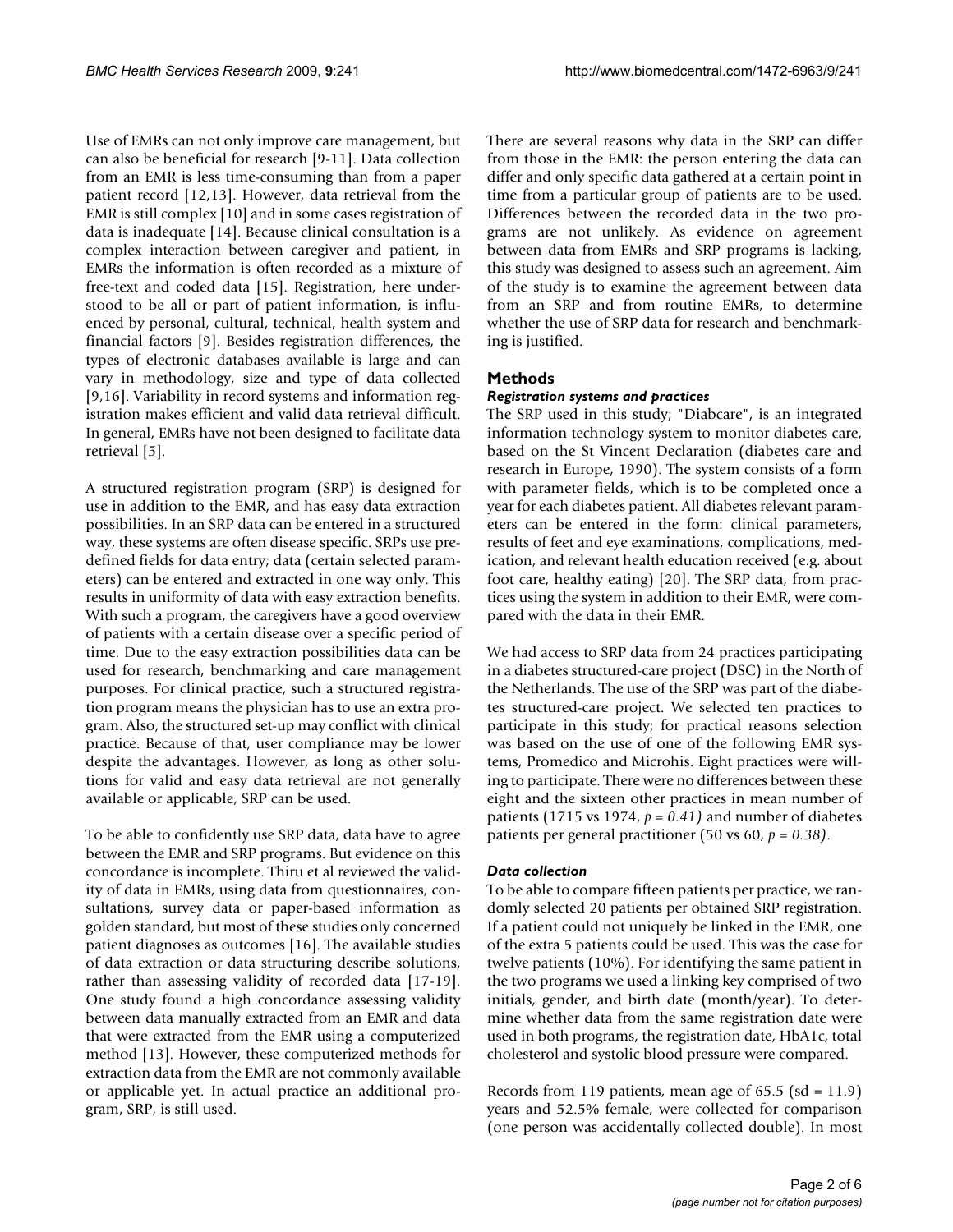Use of EMRs can not only improve care management, but can also be beneficial for research [9-11]. Data collection from an EMR is less time-consuming than from a paper patient record [12,13]. However, data retrieval from the EMR is still complex [10] and in some cases registration of data is inadequate [14]. Because clinical consultation is a complex interaction between caregiver and patient, in EMRs the information is often recorded as a mixture of free-text and coded data [15]. Registration, here understood to be all or part of patient information, is influenced by personal, cultural, technical, health system and financial factors [9]. Besides registration differences, the types of electronic databases available is large and can vary in methodology, size and type of data collected [9,16]. Variability in record systems and information registration makes efficient and valid data retrieval difficult. In general, EMRs have not been designed to facilitate data retrieval [5].

A structured registration program (SRP) is designed for use in addition to the EMR, and has easy data extraction possibilities. In an SRP data can be entered in a structured way, these systems are often disease specific. SRPs use predefined fields for data entry; data (certain selected parameters) can be entered and extracted in one way only. This results in uniformity of data with easy extraction benefits. With such a program, the caregivers have a good overview of patients with a certain disease over a specific period of time. Due to the easy extraction possibilities data can be used for research, benchmarking and care management purposes. For clinical practice, such a structured registration program means the physician has to use an extra program. Also, the structured set-up may conflict with clinical practice. Because of that, user compliance may be lower despite the advantages. However, as long as other solutions for valid and easy data retrieval are not generally available or applicable, SRP can be used.

To be able to confidently use SRP data, data have to agree between the EMR and SRP programs. But evidence on this concordance is incomplete. Thiru et al reviewed the validity of data in EMRs, using data from questionnaires, consultations, survey data or paper-based information as golden standard, but most of these studies only concerned patient diagnoses as outcomes [16]. The available studies of data extraction or data structuring describe solutions, rather than assessing validity of recorded data [17-19]. One study found a high concordance assessing validity between data manually extracted from an EMR and data that were extracted from the EMR using a computerized method [13]. However, these computerized methods for extraction data from the EMR are not commonly available or applicable yet. In actual practice an additional program, SRP, is still used.

There are several reasons why data in the SRP can differ from those in the EMR: the person entering the data can differ and only specific data gathered at a certain point in time from a particular group of patients are to be used. Differences between the recorded data in the two programs are not unlikely. As evidence on agreement between data from EMRs and SRP programs is lacking, this study was designed to assess such an agreement. Aim of the study is to examine the agreement between data from an SRP and from routine EMRs, to determine whether the use of SRP data for research and benchmarking is justified.

### **Methods**

#### *Registration systems and practices*

The SRP used in this study; "Diabcare", is an integrated information technology system to monitor diabetes care, based on the St Vincent Declaration (diabetes care and research in Europe, 1990). The system consists of a form with parameter fields, which is to be completed once a year for each diabetes patient. All diabetes relevant parameters can be entered in the form: clinical parameters, results of feet and eye examinations, complications, medication, and relevant health education received (e.g. about foot care, healthy eating) [20]. The SRP data, from practices using the system in addition to their EMR, were compared with the data in their EMR.

We had access to SRP data from 24 practices participating in a diabetes structured-care project (DSC) in the North of the Netherlands. The use of the SRP was part of the diabetes structured-care project. We selected ten practices to participate in this study; for practical reasons selection was based on the use of one of the following EMR systems, Promedico and Microhis. Eight practices were willing to participate. There were no differences between these eight and the sixteen other practices in mean number of patients (1715 vs 1974, *p = 0.41)* and number of diabetes patients per general practitioner (50 vs 60, *p = 0.38)*.

#### *Data collection*

To be able to compare fifteen patients per practice, we randomly selected 20 patients per obtained SRP registration. If a patient could not uniquely be linked in the EMR, one of the extra 5 patients could be used. This was the case for twelve patients (10%). For identifying the same patient in the two programs we used a linking key comprised of two initials, gender, and birth date (month/year). To determine whether data from the same registration date were used in both programs, the registration date, HbA1c, total cholesterol and systolic blood pressure were compared.

Records from 119 patients, mean age of  $65.5$  (sd = 11.9) years and 52.5% female, were collected for comparison (one person was accidentally collected double). In most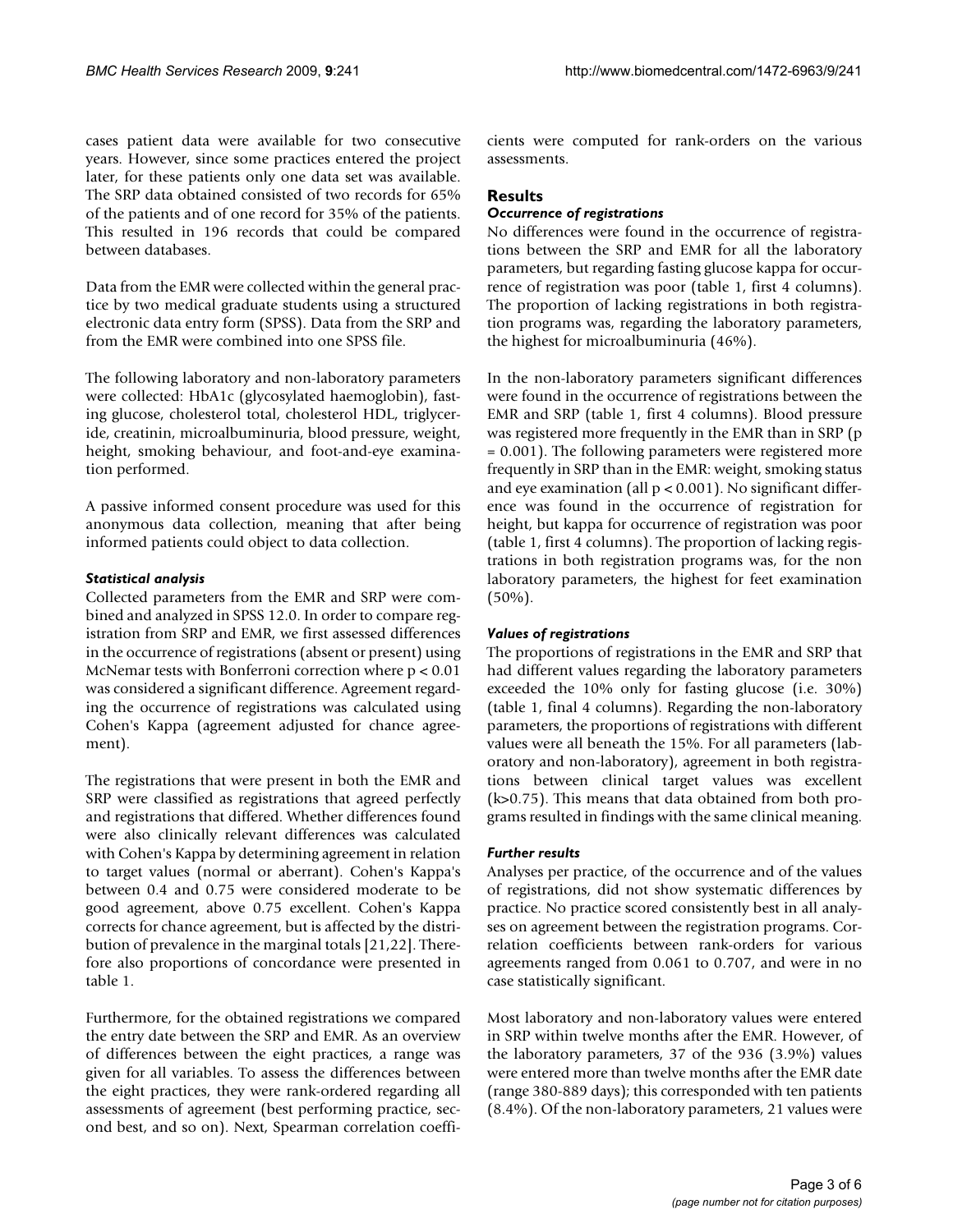cases patient data were available for two consecutive years. However, since some practices entered the project later, for these patients only one data set was available. The SRP data obtained consisted of two records for 65% of the patients and of one record for 35% of the patients. This resulted in 196 records that could be compared between databases.

Data from the EMR were collected within the general practice by two medical graduate students using a structured electronic data entry form (SPSS). Data from the SRP and from the EMR were combined into one SPSS file.

The following laboratory and non-laboratory parameters were collected: HbA1c (glycosylated haemoglobin), fasting glucose, cholesterol total, cholesterol HDL, triglyceride, creatinin, microalbuminuria, blood pressure, weight, height, smoking behaviour, and foot-and-eye examination performed.

A passive informed consent procedure was used for this anonymous data collection, meaning that after being informed patients could object to data collection.

#### *Statistical analysis*

Collected parameters from the EMR and SRP were combined and analyzed in SPSS 12.0. In order to compare registration from SRP and EMR, we first assessed differences in the occurrence of registrations (absent or present) using McNemar tests with Bonferroni correction where p < 0.01 was considered a significant difference. Agreement regarding the occurrence of registrations was calculated using Cohen's Kappa (agreement adjusted for chance agreement).

The registrations that were present in both the EMR and SRP were classified as registrations that agreed perfectly and registrations that differed. Whether differences found were also clinically relevant differences was calculated with Cohen's Kappa by determining agreement in relation to target values (normal or aberrant). Cohen's Kappa's between 0.4 and 0.75 were considered moderate to be good agreement, above 0.75 excellent. Cohen's Kappa corrects for chance agreement, but is affected by the distribution of prevalence in the marginal totals [21,22]. Therefore also proportions of concordance were presented in table 1.

Furthermore, for the obtained registrations we compared the entry date between the SRP and EMR. As an overview of differences between the eight practices, a range was given for all variables. To assess the differences between the eight practices, they were rank-ordered regarding all assessments of agreement (best performing practice, second best, and so on). Next, Spearman correlation coefficients were computed for rank-orders on the various assessments.

#### **Results**

#### *Occurrence of registrations*

No differences were found in the occurrence of registrations between the SRP and EMR for all the laboratory parameters, but regarding fasting glucose kappa for occurrence of registration was poor (table 1, first 4 columns). The proportion of lacking registrations in both registration programs was, regarding the laboratory parameters, the highest for microalbuminuria (46%).

In the non-laboratory parameters significant differences were found in the occurrence of registrations between the EMR and SRP (table 1, first 4 columns). Blood pressure was registered more frequently in the EMR than in SRP (p = 0.001). The following parameters were registered more frequently in SRP than in the EMR: weight, smoking status and eye examination (all  $p < 0.001$ ). No significant difference was found in the occurrence of registration for height, but kappa for occurrence of registration was poor (table 1, first 4 columns). The proportion of lacking registrations in both registration programs was, for the non laboratory parameters, the highest for feet examination (50%).

#### *Values of registrations*

The proportions of registrations in the EMR and SRP that had different values regarding the laboratory parameters exceeded the 10% only for fasting glucose (i.e. 30%) (table 1, final 4 columns). Regarding the non-laboratory parameters, the proportions of registrations with different values were all beneath the 15%. For all parameters (laboratory and non-laboratory), agreement in both registrations between clinical target values was excellent (k>0.75). This means that data obtained from both programs resulted in findings with the same clinical meaning.

#### *Further results*

Analyses per practice, of the occurrence and of the values of registrations, did not show systematic differences by practice. No practice scored consistently best in all analyses on agreement between the registration programs. Correlation coefficients between rank-orders for various agreements ranged from 0.061 to 0.707, and were in no case statistically significant.

Most laboratory and non-laboratory values were entered in SRP within twelve months after the EMR. However, of the laboratory parameters, 37 of the 936 (3.9%) values were entered more than twelve months after the EMR date (range 380-889 days); this corresponded with ten patients (8.4%). Of the non-laboratory parameters, 21 values were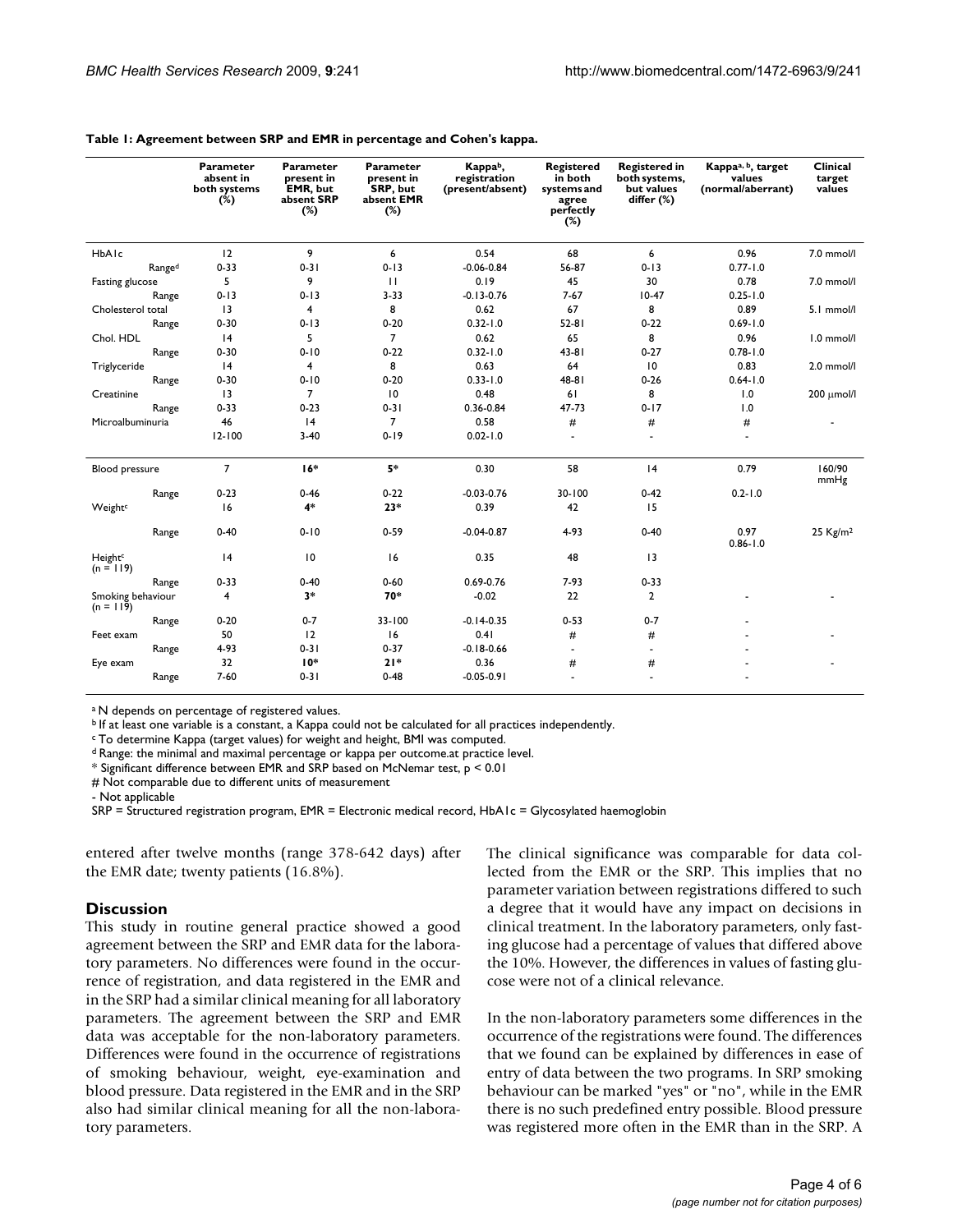|                                    |        | Parameter<br>absent in<br>both systems<br>$(\%)$ | <b>Parameter</b><br>present in<br><b>EMR, but</b><br>absent SRP<br>$(\%)$ | <b>Parameter</b><br>present in<br>SRP, but<br>absent EMR<br>(%) | Kappa <sub>b</sub> ,<br>registration<br>(present/absent) | <b>Registered</b><br>in both<br>systems and<br>agree<br>perfectly<br>$(\%)$ | <b>Registered in</b><br>both systems,<br>but values<br>differ (%) | Kappa <sup>a, b</sup> , target<br>values<br>(normal/aberrant) | <b>Clinical</b><br>target<br>values |
|------------------------------------|--------|--------------------------------------------------|---------------------------------------------------------------------------|-----------------------------------------------------------------|----------------------------------------------------------|-----------------------------------------------------------------------------|-------------------------------------------------------------------|---------------------------------------------------------------|-------------------------------------|
| HbAIc                              |        | 12                                               | 9                                                                         | 6                                                               | 0.54                                                     | 68                                                                          | 6                                                                 | 0.96                                                          | 7.0 mmol/l                          |
|                                    | Ranged | $0 - 33$                                         | $0 - 31$                                                                  | $0 - 13$                                                        | $-0.06 - 0.84$                                           | 56-87                                                                       | $0 - 13$                                                          | $0.77 - 1.0$                                                  |                                     |
| Fasting glucose                    |        | 5                                                | 9                                                                         | $\mathbf{H}$                                                    | 0.19                                                     | 45                                                                          | 30                                                                | 0.78                                                          | 7.0 mmol/l                          |
|                                    | Range  | $0 - 13$                                         | $0 - 13$                                                                  | $3 - 33$                                                        | $-0.13 - 0.76$                                           | $7 - 67$                                                                    | $10-47$                                                           | $0.25 - 1.0$                                                  |                                     |
| Cholesterol total                  |        | 3                                                | $\overline{4}$                                                            | 8                                                               | 0.62                                                     | 67                                                                          | 8                                                                 | 0.89                                                          | 5.1 mmol/l                          |
|                                    | Range  | $0 - 30$                                         | $0 - 13$                                                                  | $0 - 20$                                                        | $0.32 - 1.0$                                             | $52 - 81$                                                                   | $0 - 22$                                                          | $0.69 - 1.0$                                                  |                                     |
| Chol. HDL                          |        | 4                                                | 5                                                                         | $\overline{7}$                                                  | 0.62                                                     | 65                                                                          | 8                                                                 | 0.96                                                          | $1.0$ mmol/l                        |
|                                    | Range  | $0 - 30$                                         | $0 - 10$                                                                  | $0 - 22$                                                        | $0.32 - 1.0$                                             | $43 - 81$                                                                   | $0 - 27$                                                          | $0.78 - 1.0$                                                  |                                     |
| Triglyceride                       |        | 4                                                | $\overline{4}$                                                            | 8                                                               | 0.63                                                     | 64                                                                          | 10                                                                | 0.83                                                          | $2.0$ mmol/l                        |
|                                    | Range  | $0 - 30$                                         | $0 - 10$                                                                  | $0 - 20$                                                        | $0.33 - 1.0$                                             | 48-81                                                                       | $0 - 26$                                                          | $0.64 - 1.0$                                                  |                                     |
| Creatinine                         |        | 3                                                | $\overline{7}$                                                            | $\overline{10}$                                                 | 0.48                                                     | 61                                                                          | 8                                                                 | 1.0                                                           | 200 µmol/l                          |
|                                    | Range  | $0 - 33$                                         | $0 - 23$                                                                  | $0 - 31$                                                        | $0.36 - 0.84$                                            | 47-73                                                                       | $0 - 17$                                                          | 1.0                                                           |                                     |
| Microalbuminuria                   |        | 46                                               | 4                                                                         | $\overline{7}$                                                  | 0.58                                                     | #                                                                           | #                                                                 | $^{\rm \#}$                                                   |                                     |
|                                    |        | $12 - 100$                                       | $3 - 40$                                                                  | $0 - 19$                                                        | $0.02 - 1.0$                                             | $\blacksquare$                                                              | $\blacksquare$                                                    | ÷.                                                            |                                     |
| Blood pressure                     |        | $\overline{7}$                                   | $16*$                                                                     | $5*$                                                            | 0.30                                                     | 58                                                                          | 4                                                                 | 0.79                                                          | 160/90<br>mmHg                      |
|                                    | Range  | $0 - 23$                                         | $0 - 46$                                                                  | $0 - 22$                                                        | $-0.03 - 0.76$                                           | $30 - 100$                                                                  | $0 - 42$                                                          | $0.2 - 1.0$                                                   |                                     |
| Weight <sup>c</sup>                |        | 16                                               | 4*                                                                        | $23*$                                                           | 0.39                                                     | 42                                                                          | 15                                                                |                                                               |                                     |
|                                    |        |                                                  |                                                                           |                                                                 |                                                          |                                                                             |                                                                   |                                                               |                                     |
|                                    | Range  | $0 - 40$                                         | $0 - 10$                                                                  | $0 - 59$                                                        | $-0.04 - 0.87$                                           | $4 - 93$                                                                    | $0 - 40$                                                          | 0.97<br>$0.86 - 1.0$                                          | 25 Kg/m <sup>2</sup>                |
| Height <sup>c</sup><br>$(n = 119)$ |        | 4                                                | 10                                                                        | 16                                                              | 0.35                                                     | 48                                                                          | 3                                                                 |                                                               |                                     |
|                                    | Range  | $0 - 33$                                         | $0 - 40$                                                                  | $0 - 60$                                                        | 0.69-0.76                                                | $7 - 93$                                                                    | $0 - 33$                                                          |                                                               |                                     |
| Smoking behaviour<br>$(n = 119)$   |        | 4                                                | $3*$                                                                      | 70*                                                             | $-0.02$                                                  | 22                                                                          | $\overline{2}$                                                    |                                                               |                                     |
|                                    | Range  | $0 - 20$                                         | $0 - 7$                                                                   | $33 - 100$                                                      | $-0.14-0.35$                                             | $0 - 53$                                                                    | $0 - 7$                                                           |                                                               |                                     |
| Feet exam                          |        | 50                                               | 12                                                                        | 16                                                              | 0.41                                                     | #                                                                           | #                                                                 |                                                               |                                     |
|                                    | Range  | $4-93$                                           | $0 - 31$                                                                  | $0 - 37$                                                        | $-0.18 - 0.66$                                           | $\blacksquare$                                                              | $\blacksquare$                                                    |                                                               |                                     |
| Eye exam                           |        | 32                                               | $10*$                                                                     | $21*$                                                           | 0.36                                                     | #                                                                           | #                                                                 |                                                               |                                     |
|                                    | Range  | $7-60$                                           | $0 - 31$                                                                  | $0 - 48$                                                        | $-0.05 - 0.91$                                           | $\blacksquare$                                                              |                                                                   |                                                               |                                     |

**Table 1: Agreement between SRP and EMR in percentage and Cohen's kappa.**

a N depends on percentage of registered values.

b If at least one variable is a constant, a Kappa could not be calculated for all practices independently.

c To determine Kappa (target values) for weight and height, BMI was computed.

d Range: the minimal and maximal percentage or kappa per outcome.at practice level.

\* Significant difference between EMR and SRP based on McNemar test, p < 0.01

# Not comparable due to different units of measurement

- Not applicable

SRP = Structured registration program, EMR = Electronic medical record, HbA1c = Glycosylated haemoglobin

entered after twelve months (range 378-642 days) after the EMR date; twenty patients (16.8%).

#### **Discussion**

This study in routine general practice showed a good agreement between the SRP and EMR data for the laboratory parameters. No differences were found in the occurrence of registration, and data registered in the EMR and in the SRP had a similar clinical meaning for all laboratory parameters. The agreement between the SRP and EMR data was acceptable for the non-laboratory parameters. Differences were found in the occurrence of registrations of smoking behaviour, weight, eye-examination and blood pressure. Data registered in the EMR and in the SRP also had similar clinical meaning for all the non-laboratory parameters.

The clinical significance was comparable for data collected from the EMR or the SRP. This implies that no parameter variation between registrations differed to such a degree that it would have any impact on decisions in clinical treatment. In the laboratory parameters, only fasting glucose had a percentage of values that differed above the 10%. However, the differences in values of fasting glucose were not of a clinical relevance.

In the non-laboratory parameters some differences in the occurrence of the registrations were found. The differences that we found can be explained by differences in ease of entry of data between the two programs. In SRP smoking behaviour can be marked "yes" or "no", while in the EMR there is no such predefined entry possible. Blood pressure was registered more often in the EMR than in the SRP. A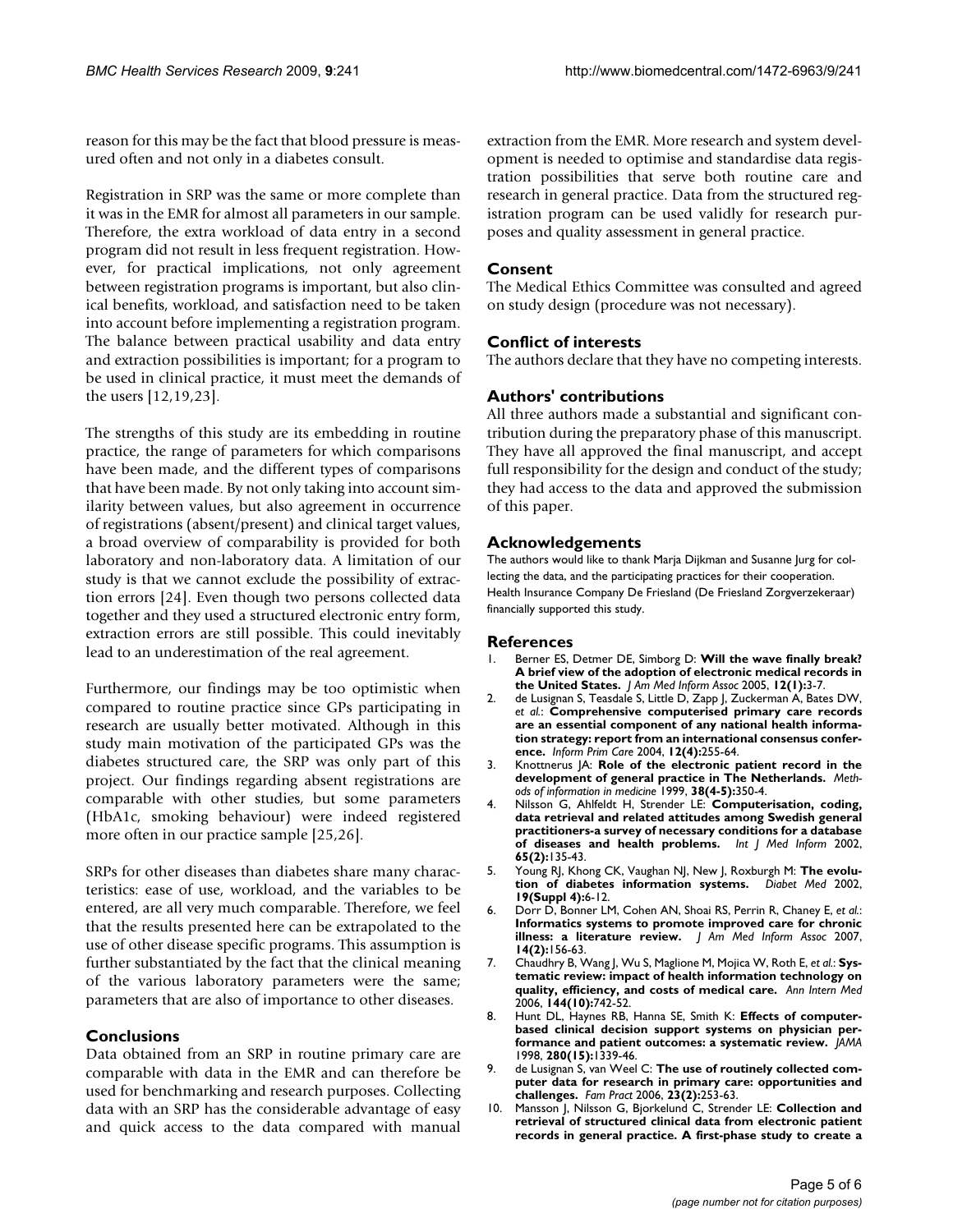reason for this may be the fact that blood pressure is measured often and not only in a diabetes consult.

Registration in SRP was the same or more complete than it was in the EMR for almost all parameters in our sample. Therefore, the extra workload of data entry in a second program did not result in less frequent registration. However, for practical implications, not only agreement between registration programs is important, but also clinical benefits, workload, and satisfaction need to be taken into account before implementing a registration program. The balance between practical usability and data entry and extraction possibilities is important; for a program to be used in clinical practice, it must meet the demands of the users [12,19,23].

The strengths of this study are its embedding in routine practice, the range of parameters for which comparisons have been made, and the different types of comparisons that have been made. By not only taking into account similarity between values, but also agreement in occurrence of registrations (absent/present) and clinical target values, a broad overview of comparability is provided for both laboratory and non-laboratory data. A limitation of our study is that we cannot exclude the possibility of extraction errors [24]. Even though two persons collected data together and they used a structured electronic entry form, extraction errors are still possible. This could inevitably lead to an underestimation of the real agreement.

Furthermore, our findings may be too optimistic when compared to routine practice since GPs participating in research are usually better motivated. Although in this study main motivation of the participated GPs was the diabetes structured care, the SRP was only part of this project. Our findings regarding absent registrations are comparable with other studies, but some parameters (HbA1c, smoking behaviour) were indeed registered more often in our practice sample [25,26].

SRPs for other diseases than diabetes share many characteristics: ease of use, workload, and the variables to be entered, are all very much comparable. Therefore, we feel that the results presented here can be extrapolated to the use of other disease specific programs. This assumption is further substantiated by the fact that the clinical meaning of the various laboratory parameters were the same; parameters that are also of importance to other diseases.

#### **Conclusions**

Data obtained from an SRP in routine primary care are comparable with data in the EMR and can therefore be used for benchmarking and research purposes. Collecting data with an SRP has the considerable advantage of easy and quick access to the data compared with manual

extraction from the EMR. More research and system development is needed to optimise and standardise data registration possibilities that serve both routine care and research in general practice. Data from the structured registration program can be used validly for research purposes and quality assessment in general practice.

#### **Consent**

The Medical Ethics Committee was consulted and agreed on study design (procedure was not necessary).

#### **Conflict of interests**

The authors declare that they have no competing interests.

#### **Authors' contributions**

All three authors made a substantial and significant contribution during the preparatory phase of this manuscript. They have all approved the final manuscript, and accept full responsibility for the design and conduct of the study; they had access to the data and approved the submission of this paper.

#### **Acknowledgements**

The authors would like to thank Marja Dijkman and Susanne Jurg for collecting the data, and the participating practices for their cooperation. Health Insurance Company De Friesland (De Friesland Zorgverzekeraar) financially supported this study.

#### **References**

- 1. Berner ES, Detmer DE, Simborg D: **[Will the wave finally break?](http://www.ncbi.nlm.nih.gov/entrez/query.fcgi?cmd=Retrieve&db=PubMed&dopt=Abstract&list_uids=15492029) [A brief view of the adoption of electronic medical records in](http://www.ncbi.nlm.nih.gov/entrez/query.fcgi?cmd=Retrieve&db=PubMed&dopt=Abstract&list_uids=15492029) [the United States.](http://www.ncbi.nlm.nih.gov/entrez/query.fcgi?cmd=Retrieve&db=PubMed&dopt=Abstract&list_uids=15492029)** *J Am Med Inform Assoc* 2005, **12(1):**3-7.
- 2. de Lusignan S, Teasdale S, Little D, Zapp J, Zuckerman A, Bates DW, *et al.*: **[Comprehensive computerised primary care records](http://www.ncbi.nlm.nih.gov/entrez/query.fcgi?cmd=Retrieve&db=PubMed&dopt=Abstract&list_uids=15808027) [are an essential component of any national health informa](http://www.ncbi.nlm.nih.gov/entrez/query.fcgi?cmd=Retrieve&db=PubMed&dopt=Abstract&list_uids=15808027)tion strategy: report from an international consensus confer[ence.](http://www.ncbi.nlm.nih.gov/entrez/query.fcgi?cmd=Retrieve&db=PubMed&dopt=Abstract&list_uids=15808027)** *Inform Prim Care* 2004, **12(4):**255-64.
- 3. Knottnerus JA: **[Role of the electronic patient record in the](http://www.ncbi.nlm.nih.gov/entrez/query.fcgi?cmd=Retrieve&db=PubMed&dopt=Abstract&list_uids=10805027) [development of general practice in The Netherlands.](http://www.ncbi.nlm.nih.gov/entrez/query.fcgi?cmd=Retrieve&db=PubMed&dopt=Abstract&list_uids=10805027)** *Methods of information in medicine* 1999, **38(4-5):**350-4.
- 4. Nilsson G, Ahlfeldt H, Strender LE: **[Computerisation, coding,](http://www.ncbi.nlm.nih.gov/entrez/query.fcgi?cmd=Retrieve&db=PubMed&dopt=Abstract&list_uids=12052426) [data retrieval and related attitudes among Swedish general](http://www.ncbi.nlm.nih.gov/entrez/query.fcgi?cmd=Retrieve&db=PubMed&dopt=Abstract&list_uids=12052426) practitioners-a survey of necessary conditions for a database [of diseases and health problems.](http://www.ncbi.nlm.nih.gov/entrez/query.fcgi?cmd=Retrieve&db=PubMed&dopt=Abstract&list_uids=12052426)** *Int J Med Inform* 2002, **65(2):**135-43.
- 5. Young RJ, Khong CK, Vaughan NJ, New J, Roxburgh M: **[The evolu](http://www.ncbi.nlm.nih.gov/entrez/query.fcgi?cmd=Retrieve&db=PubMed&dopt=Abstract&list_uids=12121331)[tion of diabetes information systems.](http://www.ncbi.nlm.nih.gov/entrez/query.fcgi?cmd=Retrieve&db=PubMed&dopt=Abstract&list_uids=12121331)** *Diabet Med* 2002, **19(Suppl 4):**6-12.
- 6. Dorr D, Bonner LM, Cohen AN, Shoai RS, Perrin R, Chaney E, *et al.*: **[Informatics systems to promote improved care for chronic](http://www.ncbi.nlm.nih.gov/entrez/query.fcgi?cmd=Retrieve&db=PubMed&dopt=Abstract&list_uids=17213491) [illness: a literature review.](http://www.ncbi.nlm.nih.gov/entrez/query.fcgi?cmd=Retrieve&db=PubMed&dopt=Abstract&list_uids=17213491)** *J Am Med Inform Assoc* 2007, **14(2):**156-63.
- 7. Chaudhry B, Wang J, Wu S, Maglione M, Mojica W, Roth E, *et al.*: **[Sys](http://www.ncbi.nlm.nih.gov/entrez/query.fcgi?cmd=Retrieve&db=PubMed&dopt=Abstract&list_uids=16702590)[tematic review: impact of health information technology on](http://www.ncbi.nlm.nih.gov/entrez/query.fcgi?cmd=Retrieve&db=PubMed&dopt=Abstract&list_uids=16702590) [quality, efficiency, and costs of medical care.](http://www.ncbi.nlm.nih.gov/entrez/query.fcgi?cmd=Retrieve&db=PubMed&dopt=Abstract&list_uids=16702590)** *Ann Intern Med* 2006, **144(10):**742-52.
- 8. Hunt DL, Haynes RB, Hanna SE, Smith K: **[Effects of computer](http://www.ncbi.nlm.nih.gov/entrez/query.fcgi?cmd=Retrieve&db=PubMed&dopt=Abstract&list_uids=9794315)[based clinical decision support systems on physician per](http://www.ncbi.nlm.nih.gov/entrez/query.fcgi?cmd=Retrieve&db=PubMed&dopt=Abstract&list_uids=9794315)[formance and patient outcomes: a systematic review.](http://www.ncbi.nlm.nih.gov/entrez/query.fcgi?cmd=Retrieve&db=PubMed&dopt=Abstract&list_uids=9794315)** *JAMA* 1998, **280(15):**1339-46.
- 9. de Lusignan S, van Weel C: **[The use of routinely collected com](http://www.ncbi.nlm.nih.gov/entrez/query.fcgi?cmd=Retrieve&db=PubMed&dopt=Abstract&list_uids=16368704)[puter data for research in primary care: opportunities and](http://www.ncbi.nlm.nih.gov/entrez/query.fcgi?cmd=Retrieve&db=PubMed&dopt=Abstract&list_uids=16368704) [challenges.](http://www.ncbi.nlm.nih.gov/entrez/query.fcgi?cmd=Retrieve&db=PubMed&dopt=Abstract&list_uids=16368704)** *Fam Pract* 2006, **23(2):**253-63.
- 10. Mansson J, Nilsson G, Bjorkelund C, Strender LE: **[Collection and](http://www.ncbi.nlm.nih.gov/entrez/query.fcgi?cmd=Retrieve&db=PubMed&dopt=Abstract&list_uids=15119513) [retrieval of structured clinical data from electronic patient](http://www.ncbi.nlm.nih.gov/entrez/query.fcgi?cmd=Retrieve&db=PubMed&dopt=Abstract&list_uids=15119513) [records in general practice. A first-phase study to create a](http://www.ncbi.nlm.nih.gov/entrez/query.fcgi?cmd=Retrieve&db=PubMed&dopt=Abstract&list_uids=15119513)**